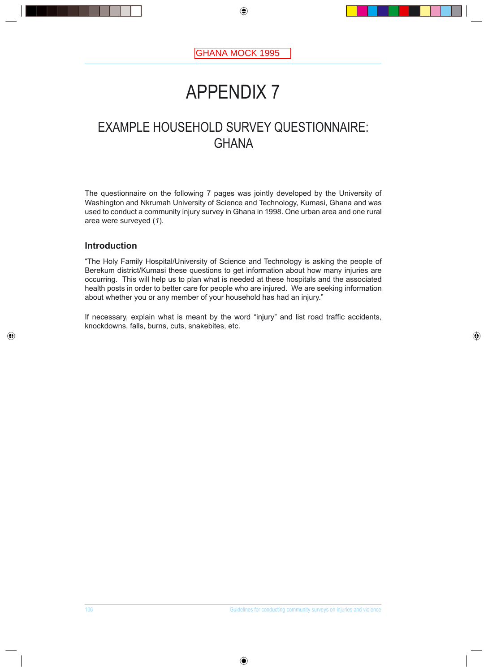# APPENDIX 7

## EXAMPLE HOUSEHOLD SURVEY QUESTIONNAIRE: **GHANA**

The questionnaire on the following 7 pages was jointly developed by the University of Washington and Nkrumah University of Science and Technology, Kumasi, Ghana and was used to conduct a community injury survey in Ghana in 1998. One urban area and one rural area were surveyed (*1*).

## **Introduction**

"The Holy Family Hospital/University of Science and Technology is asking the people of Berekum district/Kumasi these questions to get information about how many injuries are occurring. This will help us to plan what is needed at these hospitals and the associated health posts in order to better care for people who are injured. We are seeking information about whether you or any member of your household has had an injury."

If necessary, explain what is meant by the word "injury" and list road traffic accidents, knockdowns, falls, burns, cuts, snakebites, etc.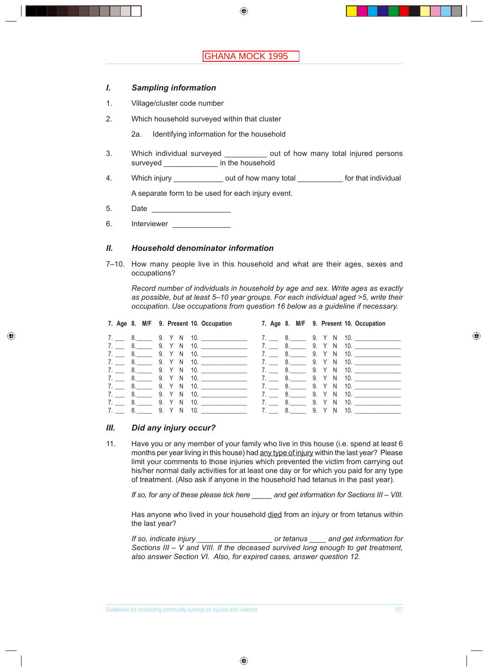#### *I. Sampling information*

- 1. Village/cluster code number
- 2. Which household surveyed within that cluster
	- 2a. Identifying information for the household
- 3. Which individual surveyed \_\_\_\_\_\_\_\_\_\_ out of how many total injured persons surveyed \_\_\_\_\_\_\_\_\_\_\_\_\_\_ in the household
- 4. Which injury \_\_\_\_\_\_\_\_\_\_\_\_\_\_\_ out of how many total \_\_\_\_\_\_\_\_\_\_\_\_\_ for that individual

A separate form to be used for each injury event.

- 5. Date \_\_\_\_\_\_\_\_\_\_\_\_\_\_\_\_\_\_\_
- 6. Interviewer

#### *II. Household denominator information*

7-10. How many people live in this household and what are their ages, sexes and occupations?

 *Record number of individuals in household by age and sex. Write ages as exactly as possible, but at least 5<10 year groups. For each individual aged >5, write their occupation. Use occupations from question 16 below as a guideline if necessary.*

|  | 7. Age 8. M/F 9. Present 10. Occupation 7. Age 8. M/F 9. Present 10. Occupation                      |                                                |
|--|------------------------------------------------------------------------------------------------------|------------------------------------------------|
|  |                                                                                                      |                                                |
|  | 7. 8. 9. Y N 10. 7. 8. 9. Y N 10.                                                                    |                                                |
|  | 7. 8. 9. Y N 10. 7. 8. 9. Y N 10.                                                                    |                                                |
|  | 7. 8. 9. Y N 10. 7. 8. 9. Y N 10.                                                                    |                                                |
|  | 7. _____ 8. ______ 9. Y N 10. ___________________________ 7. _____ 8. _______ 9. Y N 10. ___________ |                                                |
|  | 7. _____ 8. ______ 9. Y N 10. ___________________________ 7. _____ 8. _______ 9. Y N 10. ___________ |                                                |
|  |                                                                                                      | 7. _____ 8. _______ 9. Y N 10. _______________ |
|  | 7. 8. 9. Y N 10.                                                                                     | 7. _____ 8. ______ 9. Y N 10. _____________    |
|  | 7. ______ 8. ______ 9. Y N 10. ___________________________7. ______ 8. _______9. Y N 10. ___________ |                                                |
|  |                                                                                                      |                                                |

#### *III. Did any injury occur?*

11. Have you or any member of your family who live in this house (i.e. spend at least 6 months per year living in this house) had any type of injury within the last year? Please limit your comments to those injuries which prevented the victim from carrying out his/her normal daily activities for at least one day or for which you paid for any type of treatment. (Also ask if anyone in the household had tetanus in the past year).

 *If so, for any of these please tick here \_\_\_\_\_ and get information for Sections III < VIII.*

Has anyone who lived in your household died from an injury or from tetanus within the last year?

 *If so, indicate injury \_\_\_\_\_\_\_\_\_\_\_\_\_\_\_\_\_\_ or tetanus \_\_\_\_ and get information for Sections III < V and VIII. If the deceased survived long enough to get treatment, also answer Section VI. Also, for expired cases, answer question 12.*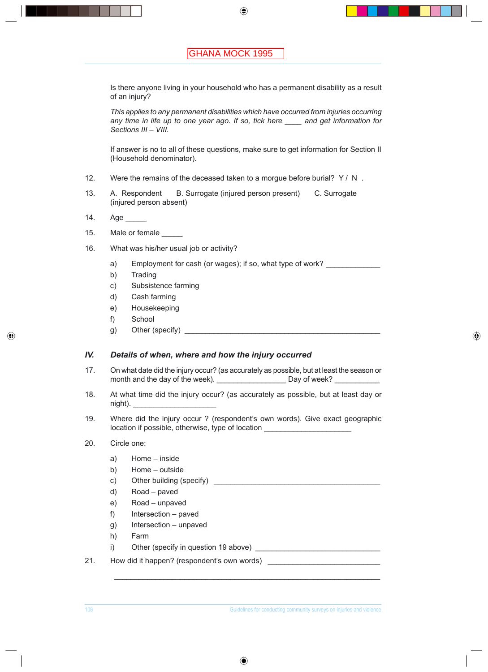Is there anyone living in your household who has a permanent disability as a result of an injury?

 *This applies to any permanent disabilities which have occurred from injuries occurring any time in life up to one year ago. If so, tick here \_\_\_\_ and get information for*  Sections *III - VIII.* 

 If answer is no to all of these questions, make sure to get information for Section II (Household denominator).

- 12. Were the remains of the deceased taken to a morgue before burial? Y / N.
- 13. A. Respondent B. Surrogate (injured person present) C. Surrogate (injured person absent)
- 14. Age
- 15. Male or female
- 16. What was his/her usual job or activity?
	- a) Employment for cash (or wages); if so, what type of work?
	- b) Trading
	- c) Subsistence farming
	- d) Cash farming
	- e) Housekeeping
	- f) School
	- g) Other (specify)

#### *IV. Details of when, where and how the injury occurred*

- 17. On what date did the injury occur? (as accurately as possible, but at least the season or month and the day of the week). \_\_\_\_\_\_\_\_\_\_\_\_\_\_\_\_\_\_\_\_\_\_\_ Day of week? \_\_\_\_\_\_\_\_\_\_\_
- 18. At what time did the injury occur? (as accurately as possible, but at least day or night).
- 19. Where did the injury occur ? (respondent's own words). Give exact geographic location if possible, otherwise, type of location

 $\mathcal{L}_\mathcal{L} = \{ \mathcal{L}_\mathcal{L} = \{ \mathcal{L}_\mathcal{L} = \{ \mathcal{L}_\mathcal{L} = \{ \mathcal{L}_\mathcal{L} = \{ \mathcal{L}_\mathcal{L} = \{ \mathcal{L}_\mathcal{L} = \{ \mathcal{L}_\mathcal{L} = \{ \mathcal{L}_\mathcal{L} = \{ \mathcal{L}_\mathcal{L} = \{ \mathcal{L}_\mathcal{L} = \{ \mathcal{L}_\mathcal{L} = \{ \mathcal{L}_\mathcal{L} = \{ \mathcal{L}_\mathcal{L} = \{ \mathcal{L}_\mathcal{$ 

#### 20. Circle one:

- a) Home inside
- b) Home outside
- c) Other building (specify) \_\_\_\_\_\_\_\_\_\_\_\_\_\_\_\_\_\_\_\_\_\_\_\_\_\_\_\_\_\_\_\_\_\_\_\_\_\_\_\_
- d) Road \_ paved
- e) Road unpaved
- $f$ ) Intersection paved
- g) Intersection unpaved
- h) Farm
- i) Other (specify in question 19 above) \_\_\_\_\_\_\_\_\_\_\_\_\_\_\_\_\_\_\_\_\_\_\_\_\_\_\_\_\_\_
- 21. How did it happen? (respondent's own words)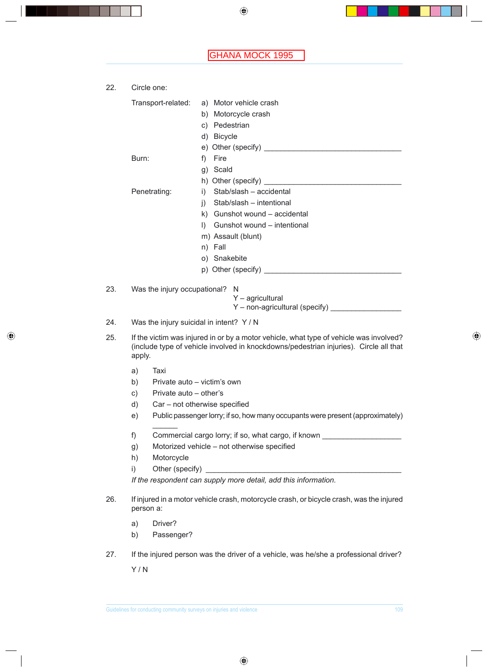| 22. | Circle one:                                                                                                                                                                               |                                             |  |  |  |  |
|-----|-------------------------------------------------------------------------------------------------------------------------------------------------------------------------------------------|---------------------------------------------|--|--|--|--|
|     | Transport-related:                                                                                                                                                                        | a) Motor vehicle crash                      |  |  |  |  |
|     |                                                                                                                                                                                           | b) Motorcycle crash                         |  |  |  |  |
|     |                                                                                                                                                                                           | c) Pedestrian                               |  |  |  |  |
|     |                                                                                                                                                                                           | d) Bicycle                                  |  |  |  |  |
|     |                                                                                                                                                                                           |                                             |  |  |  |  |
|     | Burn:                                                                                                                                                                                     | Fire<br>f)                                  |  |  |  |  |
|     |                                                                                                                                                                                           | g) Scald                                    |  |  |  |  |
|     |                                                                                                                                                                                           |                                             |  |  |  |  |
|     | Penetrating:                                                                                                                                                                              | Stab/slash - accidental<br>i)               |  |  |  |  |
|     |                                                                                                                                                                                           | Stab/slash - intentional<br>i)              |  |  |  |  |
|     |                                                                                                                                                                                           | k) Gunshot wound - accidental               |  |  |  |  |
|     |                                                                                                                                                                                           | Gunshot wound - intentional<br>$\mathbf{D}$ |  |  |  |  |
|     |                                                                                                                                                                                           | m) Assault (blunt)                          |  |  |  |  |
|     |                                                                                                                                                                                           | n) Fall                                     |  |  |  |  |
|     |                                                                                                                                                                                           | o) Snakebite                                |  |  |  |  |
|     |                                                                                                                                                                                           |                                             |  |  |  |  |
| 23. | Was the injury occupational?                                                                                                                                                              | N                                           |  |  |  |  |
|     |                                                                                                                                                                                           | $Y -$ agricultural                          |  |  |  |  |
|     |                                                                                                                                                                                           |                                             |  |  |  |  |
| 24. | Was the injury suicidal in intent? Y / N                                                                                                                                                  |                                             |  |  |  |  |
| 25. | If the victim was injured in or by a motor vehicle, what type of vehicle was involved?<br>(include type of vehicle involved in knockdowns/pedestrian injuries). Circle all that<br>apply. |                                             |  |  |  |  |
|     | Taxi<br>a)                                                                                                                                                                                |                                             |  |  |  |  |

- b) Private auto  $-$  victim's own
- c) Private auto  $-$  other's
- $d)$  Car not otherwise specified
- e) Public passenger lorry; if so, how many occupants were present (approximately)
- f) Commercial cargo lorry; if so, what cargo, if known
- g) Motorized vehicle not otherwise specified
- h) Motorcycle

 $\mathcal{L}$ 

i) Other (specify) \_

 *If the respondent can supply more detail, add this information.*

- 26. If injured in a motor vehicle crash, motorcycle crash, or bicycle crash, was the injured person a:
	- a) Driver?
	- b) Passenger?
- 27. If the injured person was the driver of a vehicle, was he/she a professional driver?

Y / N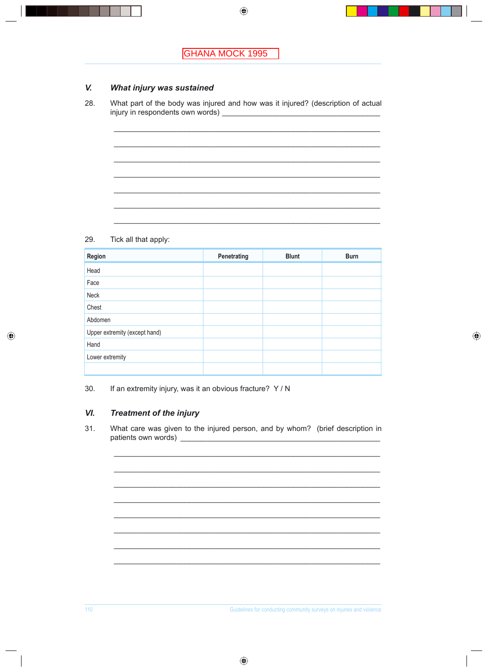#### V. What injury was sustained

What part of the body was injured and how was it injured? (description of actual 28. 

#### 29. Tick all that apply:

| Region                        | Penetrating | <b>Blunt</b> | <b>Burn</b> |
|-------------------------------|-------------|--------------|-------------|
| Head                          |             |              |             |
| Face                          |             |              |             |
| Neck                          |             |              |             |
| Chest                         |             |              |             |
| Abdomen                       |             |              |             |
| Upper extremity (except hand) |             |              |             |
| Hand                          |             |              |             |
| Lower extremity               |             |              |             |
|                               |             |              |             |

30. If an extremity injury, was it an obvious fracture? Y / N

#### VI. **Treatment of the injury**

 $31.$ What care was given to the injured person, and by whom? (brief description in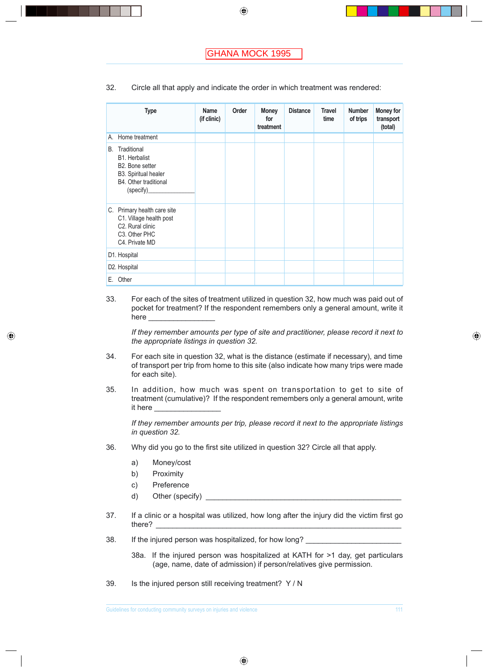| 32. |  |  |  | Circle all that apply and indicate the order in which treatment was rendered: |  |
|-----|--|--|--|-------------------------------------------------------------------------------|--|
|-----|--|--|--|-------------------------------------------------------------------------------|--|

|    | <b>Type</b>                                                                                                                             | Name<br>(if clinic) | Order | <b>Money</b><br>for<br>treatment | <b>Distance</b> | <b>Travel</b><br>time | <b>Number</b><br>of trips | Money for<br>transport<br>(total) |
|----|-----------------------------------------------------------------------------------------------------------------------------------------|---------------------|-------|----------------------------------|-----------------|-----------------------|---------------------------|-----------------------------------|
| А. | Home treatment                                                                                                                          |                     |       |                                  |                 |                       |                           |                                   |
| В. | Traditional<br><b>B1.</b> Herbalist<br>B2. Bone setter<br>B3. Spiritual healer<br>B4. Other traditional<br>(specify)_                   |                     |       |                                  |                 |                       |                           |                                   |
|    | C. Primary health care site<br>C1. Village health post<br>C <sub>2</sub> . Rural clinic<br>C <sub>3</sub> . Other PHC<br>C4. Private MD |                     |       |                                  |                 |                       |                           |                                   |
|    | D1. Hospital                                                                                                                            |                     |       |                                  |                 |                       |                           |                                   |
|    | D2. Hospital                                                                                                                            |                     |       |                                  |                 |                       |                           |                                   |
| Е. | Other                                                                                                                                   |                     |       |                                  |                 |                       |                           |                                   |

33. For each of the sites of treatment utilized in question 32, how much was paid out of pocket for treatment? If the respondent remembers only a general amount, write it here

 *If they remember amounts per type of site and practitioner, please record it next to the appropriate listings in question 32.*

- 34. For each site in question 32, what is the distance (estimate if necessary), and time of transport per trip from home to this site (also indicate how many trips were made for each site).
- 35. In addition, how much was spent on transportation to get to site of treatment (cumulative)? If the respondent remembers only a general amount, write it here

 *If they remember amounts per trip, please record it next to the appropriate listings in question 32.*

- 36. Why did you go to the first site utilized in question 32? Circle all that apply.
	- a) Money/cost
	- b) Proximity
	- c) Preference
	- d) Other (specify) \_\_\_\_\_\_\_\_\_\_\_\_\_\_\_\_\_\_\_\_\_\_\_\_\_\_\_\_\_\_\_\_\_\_\_\_\_\_\_\_\_\_\_\_\_\_\_
- 37. If a clinic or a hospital was utilized, how long after the injury did the victim first go there? \_\_\_\_\_\_\_\_\_\_\_\_\_\_\_\_\_\_\_\_\_\_\_\_\_\_\_\_\_\_\_\_\_\_\_\_\_\_\_\_\_\_\_\_\_\_\_\_\_\_\_\_\_\_\_\_\_\_\_
- 38. If the injured person was hospitalized, for how long?
	- 38a. If the injured person was hospitalized at KATH for >1 day, get particulars (age, name, date of admission) if person/relatives give permission.
- 39. Is the injured person still receiving treatment? Y / N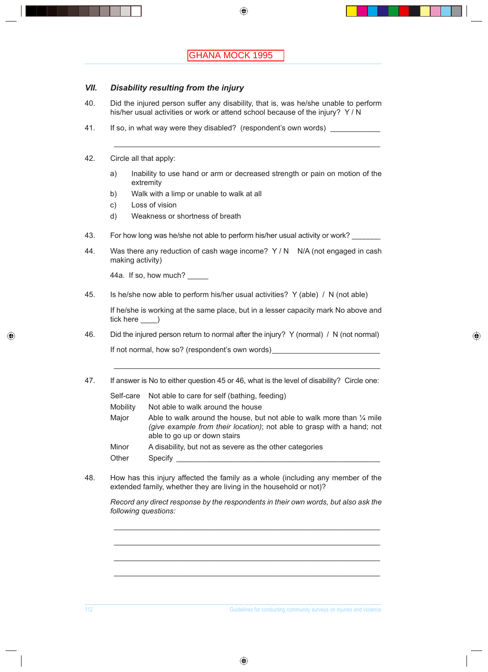### *VII. Disability resulting from the injury*

40. Did the injured person suffer any disability, that is, was he/she unable to perform his/her usual activities or work or attend school because of the injury? Y / N

\_\_\_\_\_\_\_\_\_\_\_\_\_\_\_\_\_\_\_\_\_\_\_\_\_\_\_\_\_\_\_\_\_\_\_\_\_\_\_\_\_\_\_\_\_\_\_\_\_\_\_\_\_\_\_\_\_\_\_\_\_\_\_\_

- 41. If so, in what way were they disabled? (respondent's own words)
- 42. Circle all that apply:
	- a) Inability to use hand or arm or decreased strength or pain on motion of the extremity
	- b) Walk with a limp or unable to walk at all
	- c) Loss of vision
	- d) Weakness or shortness of breath
- 43. For how long was he/she not able to perform his/her usual activity or work?
- 44. Was there any reduction of cash wage income? Y / N N/A (not engaged in cash making activity)

44a. If so, how much?

45. Is he/she now able to perform his/her usual activities? Y (able) / N (not able)

 If he/she is working at the same place, but in a lesser capacity mark No above and tick here \_\_\_\_)

- 46. Did the injured person return to normal after the injury? Y (normal) / N (not normal) If not normal, how so? (respondent's own words)
- 47. If answer is No to either question 45 or 46, what is the level of disability? Circle one:

 $\mathcal{L}_\mathcal{L} = \{ \mathcal{L}_\mathcal{L} = \{ \mathcal{L}_\mathcal{L} = \{ \mathcal{L}_\mathcal{L} = \{ \mathcal{L}_\mathcal{L} = \{ \mathcal{L}_\mathcal{L} = \{ \mathcal{L}_\mathcal{L} = \{ \mathcal{L}_\mathcal{L} = \{ \mathcal{L}_\mathcal{L} = \{ \mathcal{L}_\mathcal{L} = \{ \mathcal{L}_\mathcal{L} = \{ \mathcal{L}_\mathcal{L} = \{ \mathcal{L}_\mathcal{L} = \{ \mathcal{L}_\mathcal{L} = \{ \mathcal{L}_\mathcal{$ 

Self-care Not able to care for self (bathing, feeding)

- Mobility Not able to walk around the house
- Major Able to walk around the house, but not able to walk more than  $\frac{1}{4}$  mile *(give example from their location)*; not able to grasp with a hand; not able to go up or down stairs
- Minor A disability, but not as severe as the other categories
- Other Specify \_\_\_\_\_\_\_\_\_\_\_\_\_\_\_\_\_\_\_\_\_\_\_\_\_\_\_\_\_\_\_\_\_\_\_\_\_\_\_\_\_\_\_\_\_\_\_\_\_
- 48. How has this injury affected the family as a whole (including any member of the extended family, whether they are living in the household or not)?

 $\mathcal{L}_\mathcal{L} = \{ \mathcal{L}_\mathcal{L} = \{ \mathcal{L}_\mathcal{L} = \{ \mathcal{L}_\mathcal{L} = \{ \mathcal{L}_\mathcal{L} = \{ \mathcal{L}_\mathcal{L} = \{ \mathcal{L}_\mathcal{L} = \{ \mathcal{L}_\mathcal{L} = \{ \mathcal{L}_\mathcal{L} = \{ \mathcal{L}_\mathcal{L} = \{ \mathcal{L}_\mathcal{L} = \{ \mathcal{L}_\mathcal{L} = \{ \mathcal{L}_\mathcal{L} = \{ \mathcal{L}_\mathcal{L} = \{ \mathcal{L}_\mathcal{$ 

 $\mathcal{L}_\mathcal{L} = \{ \mathcal{L}_\mathcal{L} = \{ \mathcal{L}_\mathcal{L} = \{ \mathcal{L}_\mathcal{L} = \{ \mathcal{L}_\mathcal{L} = \{ \mathcal{L}_\mathcal{L} = \{ \mathcal{L}_\mathcal{L} = \{ \mathcal{L}_\mathcal{L} = \{ \mathcal{L}_\mathcal{L} = \{ \mathcal{L}_\mathcal{L} = \{ \mathcal{L}_\mathcal{L} = \{ \mathcal{L}_\mathcal{L} = \{ \mathcal{L}_\mathcal{L} = \{ \mathcal{L}_\mathcal{L} = \{ \mathcal{L}_\mathcal{$ 

 $\mathcal{L}_\mathcal{L} = \{ \mathcal{L}_\mathcal{L} = \{ \mathcal{L}_\mathcal{L} = \{ \mathcal{L}_\mathcal{L} = \{ \mathcal{L}_\mathcal{L} = \{ \mathcal{L}_\mathcal{L} = \{ \mathcal{L}_\mathcal{L} = \{ \mathcal{L}_\mathcal{L} = \{ \mathcal{L}_\mathcal{L} = \{ \mathcal{L}_\mathcal{L} = \{ \mathcal{L}_\mathcal{L} = \{ \mathcal{L}_\mathcal{L} = \{ \mathcal{L}_\mathcal{L} = \{ \mathcal{L}_\mathcal{L} = \{ \mathcal{L}_\mathcal{$ 

 $\mathcal{L}_\mathcal{L}$  , and the contribution of the contribution of the contribution of the contribution of the contribution of the contribution of the contribution of the contribution of the contribution of the contribution of

*Record any direct response by the respondents in their own words, but also ask the following questions:*